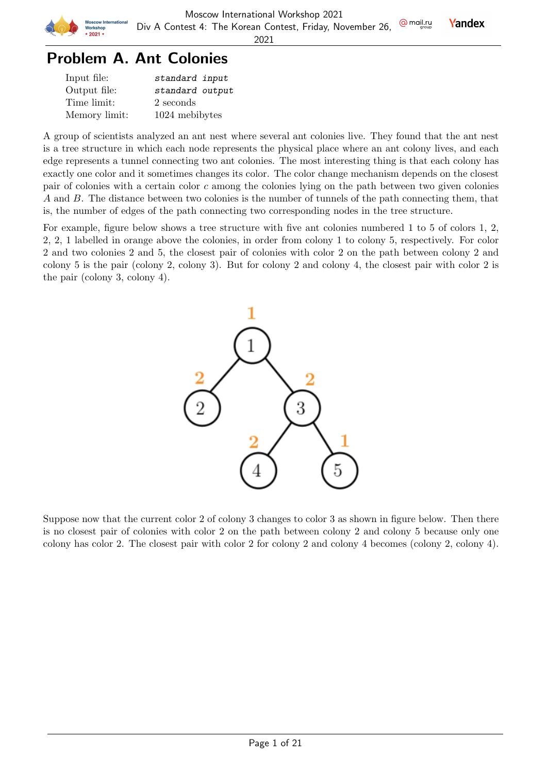# Problem A. Ant Colonies

| Input file:   | standard input  |
|---------------|-----------------|
| Output file:  | standard output |
| Time limit:   | 2 seconds       |
| Memory limit: | 1024 mebibytes  |

A group of scientists analyzed an ant nest where several ant colonies live. They found that the ant nest is a tree structure in which each node represents the physical place where an ant colony lives, and each edge represents a tunnel connecting two ant colonies. The most interesting thing is that each colony has exactly one color and it sometimes changes its color. The color change mechanism depends on the closest pair of colonies with a certain color  $c$  among the colonies lying on the path between two given colonies A and  $\hat{B}$ . The distance between two colonies is the number of tunnels of the path connecting them, that is, the number of edges of the path connecting two corresponding nodes in the tree structure.

For example, figure below shows a tree structure with five ant colonies numbered 1 to 5 of colors 1, 2, 2, 2, 1 labelled in orange above the colonies, in order from colony 1 to colony 5, respectively. For color 2 and two colonies 2 and 5, the closest pair of colonies with color 2 on the path between colony 2 and colony 5 is the pair (colony 2, colony 3). But for colony 2 and colony 4, the closest pair with color 2 is the pair (colony 3, colony 4).



Suppose now that the current color 2 of colony 3 changes to color 3 as shown in figure below. Then there is no closest pair of colonies with color 2 on the path between colony 2 and colony 5 because only one colony has color 2. The closest pair with color 2 for colony 2 and colony 4 becomes (colony 2, colony 4).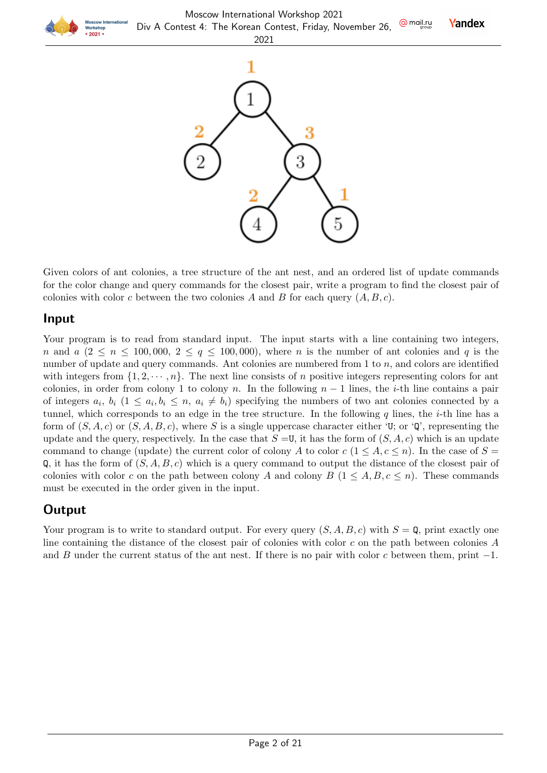

Moscow International Workshop 2021 @ mail.ru **Yandex** Div A Contest 4: The Korean Contest, Friday, November 26,

2021



Given colors of ant colonies, a tree structure of the ant nest, and an ordered list of update commands for the color change and query commands for the closest pair, write a program to find the closest pair of colonies with color c between the two colonies A and B for each query  $(A, B, c)$ .

### Input

Your program is to read from standard input. The input starts with a line containing two integers, n and  $a (2 \le n \le 100, 000, 2 \le q \le 100, 000)$ , where n is the number of ant colonies and q is the number of update and query commands. Ant colonies are numbered from 1 to  $n$ , and colors are identified with integers from  $\{1, 2, \dots, n\}$ . The next line consists of *n* positive integers representing colors for ant colonies, in order from colony 1 to colony n. In the following  $n-1$  lines, the *i*-th line contains a pair of integers  $a_i$ ,  $b_i$  ( $1 \le a_i, b_i \le n$ ,  $a_i \ne b_i$ ) specifying the numbers of two ant colonies connected by a tunnel, which corresponds to an edge in the tree structure. In the following q lines, the *i*-th line has a form of  $(S, A, c)$  or  $(S, A, B, c)$ , where S is a single uppercase character either 'U; or 'Q', representing the update and the query, respectively. In the case that  $S = U$ , it has the form of  $(S, A, c)$  which is an update command to change (update) the current color of colony A to color  $c$  ( $1 \leq A, c \leq n$ ). In the case of  $S =$  $\mathsf{Q}$ , it has the form of  $(S, A, B, c)$  which is a query command to output the distance of the closest pair of colonies with color c on the path between colony A and colony  $B$   $(1 \leq A, B, c \leq n)$ . These commands must be executed in the order given in the input.

## Output

Your program is to write to standard output. For every query  $(S, A, B, c)$  with  $S = \mathbb{Q}$ , print exactly one line containing the distance of the closest pair of colonies with color  $c$  on the path between colonies  $A$ and B under the current status of the ant nest. If there is no pair with color  $c$  between them, print  $-1$ .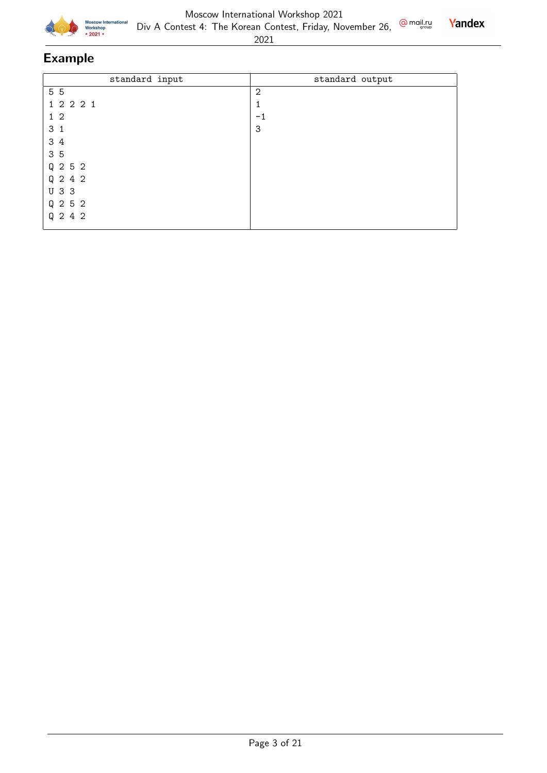

Moscow International Workshop 2021 Div A Contest 4: The Korean Contest, Friday, November 26, @ mail.ru Yandex

2021

| standard input | standard output |
|----------------|-----------------|
| 5 5            | $\overline{2}$  |
| 1 2 2 2 1      | 1               |
| $1\quad2$      | $-1$            |
| 3 <sub>1</sub> | 3               |
| 3 4            |                 |
| 3 5            |                 |
| Q 2 5 2        |                 |
| Q 2 4 2        |                 |
| U 3 3          |                 |
| Q 2 5 2        |                 |
| Q 2 4 2        |                 |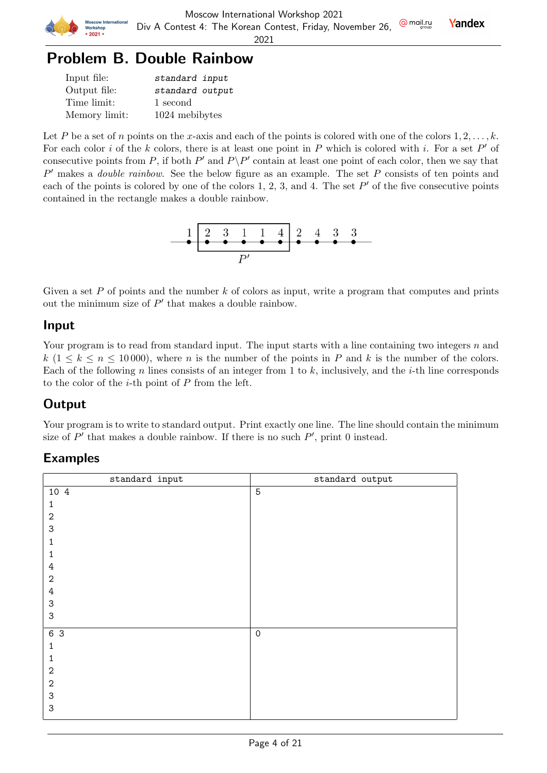# Problem B. Double Rainbow

| Input file:   | standard input  |
|---------------|-----------------|
| Output file:  | standard output |
| Time limit:   | 1 second        |
| Memory limit: | 1024 mebibytes  |

Let P be a set of n points on the x-axis and each of the points is colored with one of the colors  $1, 2, \ldots, k$ . For each color *i* of the *k* colors, there is at least one point in  $P$  which is colored with *i*. For a set  $P'$  of consecutive points from P, if both  $P'$  and  $P \backslash P'$  contain at least one point of each color, then we say that  $P'$  makes a *double rainbow*. See the below figure as an example. The set  $P$  consists of ten points and each of the points is colored by one of the colors 1, 2, 3, and 4. The set  $P'$  of the five consecutive points contained in the rectangle makes a double rainbow.



Given a set  $P$  of points and the number  $k$  of colors as input, write a program that computes and prints out the minimum size of  $P'$  that makes a double rainbow.

### Input

Your program is to read from standard input. The input starts with a line containing two integers  $n$  and  $k(1 \leq k \leq n \leq 10000)$ , where *n* is the number of the points in *P* and *k* is the number of the colors. Each of the following *n* lines consists of an integer from 1 to  $k$ , inclusively, and the *i*-th line corresponds to the color of the  $i$ -th point of  $P$  from the left.

## **Output**

Your program is to write to standard output. Print exactly one line. The line should contain the minimum size of  $P'$  that makes a double rainbow. If there is no such  $P'$ , print 0 instead.

| standard input            | standard output     |
|---------------------------|---------------------|
| 10 4                      | $\sqrt{5}$          |
| $\mathbf{1}$              |                     |
| $\sqrt{2}$                |                     |
| $\ensuremath{\mathsf{3}}$ |                     |
| 1                         |                     |
| 1                         |                     |
| $\ensuremath{4}$          |                     |
| $\sqrt{2}$                |                     |
| $\sqrt{4}$                |                     |
| $\ensuremath{\mathsf{3}}$ |                     |
| 3                         |                     |
| 6 3                       | $\mathsf{O}\xspace$ |
| $\mathbf{1}$              |                     |
| $\mathbf{1}$              |                     |
| $\sqrt{2}$                |                     |
| $\sqrt{2}$                |                     |
| 3                         |                     |
| $\ensuremath{\mathsf{3}}$ |                     |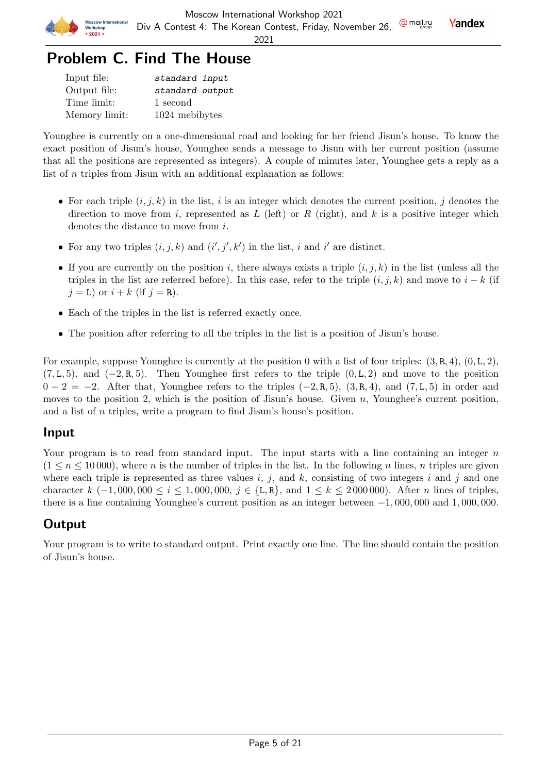## Problem C. Find The House

| Input file:   | standard input  |
|---------------|-----------------|
| Output file:  | standard output |
| Time limit:   | 1 second        |
| Memory limit: | 1024 mebibytes  |

Younghee is currently on a one-dimensional road and looking for her friend Jisun's house. To know the exact position of Jisun's house, Younghee sends a message to Jisun with her current position (assume that all the positions are represented as integers). A couple of minutes later, Younghee gets a reply as a list of  $n$  triples from Jisun with an additional explanation as follows:

- For each triple  $(i, j, k)$  in the list, i is an integer which denotes the current position, j denotes the direction to move from i, represented as  $L$  (left) or  $R$  (right), and  $k$  is a positive integer which denotes the distance to move from  $i$ .
- For any two triples  $(i, j, k)$  and  $(i', j', k')$  in the list, i and i' are distinct.
- If you are currently on the position i, there always exists a triple  $(i, j, k)$  in the list (unless all the triples in the list are referred before). In this case, refer to the triple  $(i, j, k)$  and move to  $i - k$  (if  $j = L$ ) or  $i + k$  (if  $j = R$ ).
- Each of the triples in the list is referred exactly once.
- The position after referring to all the triples in the list is a position of Jisun's house.

For example, suppose Younghee is currently at the position 0 with a list of four triples:  $(3, R, 4)$ ,  $(0, L, 2)$ ,  $(7, L, 5)$ , and  $(-2, R, 5)$ . Then Younghee first refers to the triple  $(0, L, 2)$  and move to the position  $0 - 2 = -2$ . After that, Younghee refers to the triples  $(-2, R, 5)$ ,  $(3, R, 4)$ , and  $(7, L, 5)$  in order and moves to the position 2, which is the position of Jisun's house. Given  $n$ , Younghee's current position, and a list of  $n$  triples, write a program to find Jisun's house's position.

## Input

Your program is to read from standard input. The input starts with a line containing an integer  $n$  $(1 \le n \le 10000)$ , where *n* is the number of triples in the list. In the following *n* lines, *n* triples are given where each triple is represented as three values  $i, j$ , and  $k$ , consisting of two integers  $i$  and  $j$  and one character  $k$  (-1, 000, 000 ≤ i ≤ 1, 000, 000, j ∈ {L, R}, and  $1 \le k \le 2000000$ ). After *n* lines of triples, there is a line containing Younghee's current position as an integer between −1, 000, 000 and 1, 000, 000.

## **Output**

Your program is to write to standard output. Print exactly one line. The line should contain the position of Jisun's house.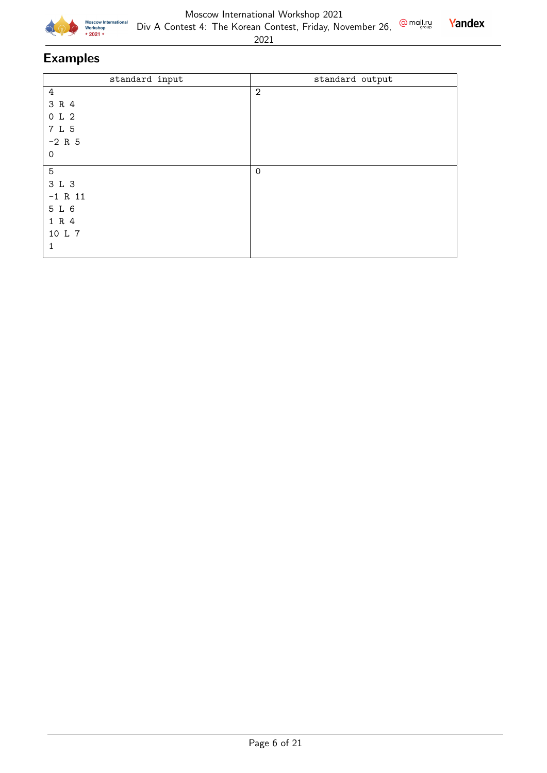

Moscow International Workshop 2021 Div A Contest 4: The Korean Contest, Friday, November 26, @ mail.ru Yandex

2021

| standard input  | standard output |
|-----------------|-----------------|
| $\overline{4}$  | $\overline{2}$  |
| 3 R 4           |                 |
| 0 L 2           |                 |
| 7 L 5           |                 |
| $-2$ R 5        |                 |
| 0               |                 |
| $5\phantom{.0}$ | $\mathbf 0$     |
| 3 L 3           |                 |
| $-1$ R 11       |                 |
| 5 L 6           |                 |
| 1 R 4           |                 |
| 10 L 7          |                 |
| 1               |                 |
|                 |                 |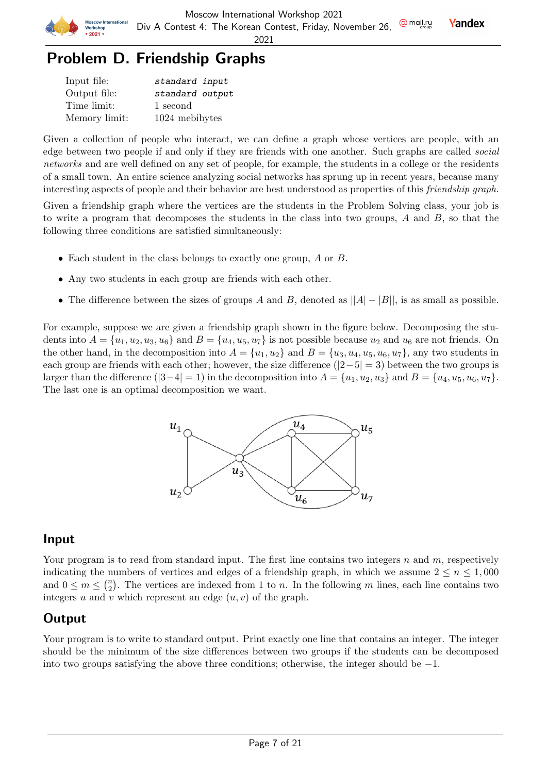# Problem D. Friendship Graphs

| Input file:   | standard input  |
|---------------|-----------------|
| Output file:  | standard output |
| Time limit:   | 1 second        |
| Memory limit: | 1024 mebibytes  |

Given a collection of people who interact, we can define a graph whose vertices are people, with an edge between two people if and only if they are friends with one another. Such graphs are called social networks and are well defined on any set of people, for example, the students in a college or the residents of a small town. An entire science analyzing social networks has sprung up in recent years, because many interesting aspects of people and their behavior are best understood as properties of this friendship graph.

Given a friendship graph where the vertices are the students in the Problem Solving class, your job is to write a program that decomposes the students in the class into two groups,  $A$  and  $B$ , so that the following three conditions are satisfied simultaneously:

- Each student in the class belongs to exactly one group,  $A$  or  $B$ .
- Any two students in each group are friends with each other.
- The difference between the sizes of groups A and B, denoted as  $||A|-|B||$ , is as small as possible.

For example, suppose we are given a friendship graph shown in the figure below. Decomposing the students into  $A = \{u_1, u_2, u_3, u_6\}$  and  $B = \{u_4, u_5, u_7\}$  is not possible because  $u_2$  and  $u_6$  are not friends. On the other hand, in the decomposition into  $A = \{u_1, u_2\}$  and  $B = \{u_3, u_4, u_5, u_6, u_7\}$ , any two students in each group are friends with each other; however, the size difference  $(|2-5| = 3)$  between the two groups is larger than the difference  $(|3-4|=1)$  in the decomposition into  $A = \{u_1, u_2, u_3\}$  and  $B = \{u_4, u_5, u_6, u_7\}$ . The last one is an optimal decomposition we want.



## Input

Your program is to read from standard input. The first line contains two integers  $n$  and  $m$ , respectively indicating the numbers of vertices and edges of a friendship graph, in which we assume  $2 \leq n \leq 1,000$ and  $0 \leq m \leq {n \choose 2}$  $n<sub>2</sub>$ ). The vertices are indexed from 1 to n. In the following m lines, each line contains two integers  $u$  and  $v$  which represent an edge  $(u, v)$  of the graph.

## **Output**

Your program is to write to standard output. Print exactly one line that contains an integer. The integer should be the minimum of the size differences between two groups if the students can be decomposed into two groups satisfying the above three conditions; otherwise, the integer should be  $-1$ .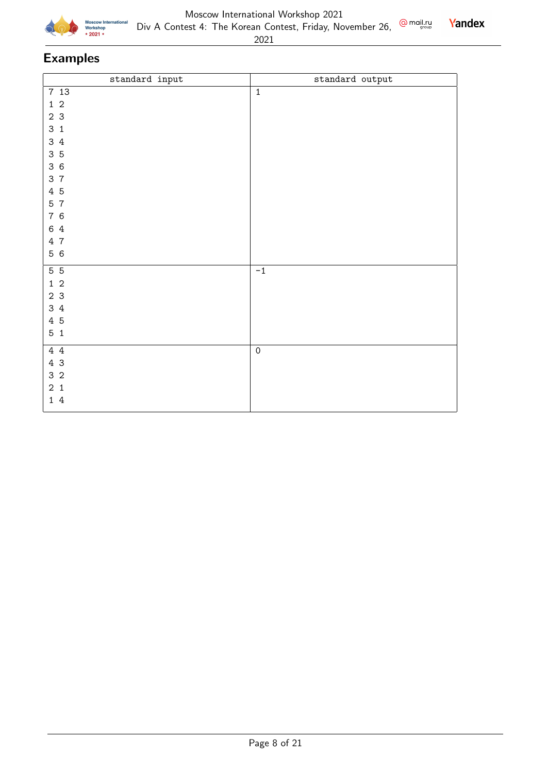

Moscow International Workshop 2021 Div A Contest 4: The Korean Contest, Friday, November 26, @ mail.ru Yandex

2021

| standard output     |
|---------------------|
| $\mathbf 1$         |
|                     |
|                     |
|                     |
|                     |
|                     |
|                     |
|                     |
|                     |
|                     |
|                     |
|                     |
|                     |
|                     |
| $-1$                |
|                     |
|                     |
|                     |
|                     |
|                     |
| $\mathsf{O}\xspace$ |
|                     |
|                     |
|                     |
|                     |
|                     |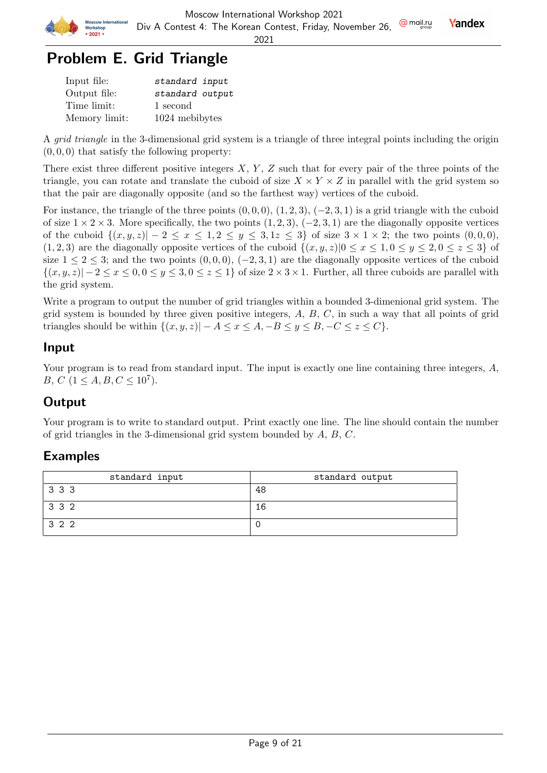# Problem E. Grid Triangle

| Input file:   | standard input  |
|---------------|-----------------|
| Output file:  | standard output |
| Time limit:   | 1 second        |
| Memory limit: | 1024 mebibytes  |

A grid triangle in the 3-dimensional grid system is a triangle of three integral points including the origin  $(0, 0, 0)$  that satisfy the following property:

There exist three different positive integers  $X, Y, Z$  such that for every pair of the three points of the triangle, you can rotate and translate the cuboid of size  $X \times Y \times Z$  in parallel with the grid system so that the pair are diagonally opposite (and so the farthest way) vertices of the cuboid.

For instance, the triangle of the three points  $(0, 0, 0)$ ,  $(1, 2, 3)$ ,  $(-2, 3, 1)$  is a grid triangle with the cuboid of size  $1 \times 2 \times 3$ . More specifically, the two points  $(1, 2, 3)$ ,  $(-2, 3, 1)$  are the diagonally opposite vertices of the cuboid  $\{(x, y, z) | -2 \le x \le 1, 2 \le y \le 3, 1z \le 3\}$  of size  $3 \times 1 \times 2$ ; the two points  $(0, 0, 0)$ ,  $(1, 2, 3)$  are the diagonally opposite vertices of the cuboid  $\{(x, y, z)|0 \le x \le 1, 0 \le y \le 2, 0 \le z \le 3\}$  of size  $1 \leq 2 \leq 3$ ; and the two points  $(0,0,0), (-2,3,1)$  are the diagonally opposite vertices of the cuboid  $\{(x, y, z) | -2 \le x \le 0, 0 \le y \le 3, 0 \le z \le 1\}$  of size  $2 \times 3 \times 1$ . Further, all three cuboids are parallel with the grid system.

Write a program to output the number of grid triangles within a bounded 3-dimenional grid system. The grid system is bounded by three given positive integers,  $A, B, C$ , in such a way that all points of grid triangles should be within  $\{(x, y, z) | -A \le x \le A, -B \le y \le B, -C \le z \le C\}.$ 

## Input

Your program is to read from standard input. The input is exactly one line containing three integers,  $A$ ,  $B, C \ (1 \leq A, B, C \leq 10^7).$ 

## **Output**

Your program is to write to standard output. Print exactly one line. The line should contain the number of grid triangles in the 3-dimensional grid system bounded by  $A, B, C$ .

| standard input | standard output |
|----------------|-----------------|
| 3 3 3          | 48              |
| 3 3 2          | 16              |
| 3 2 2          |                 |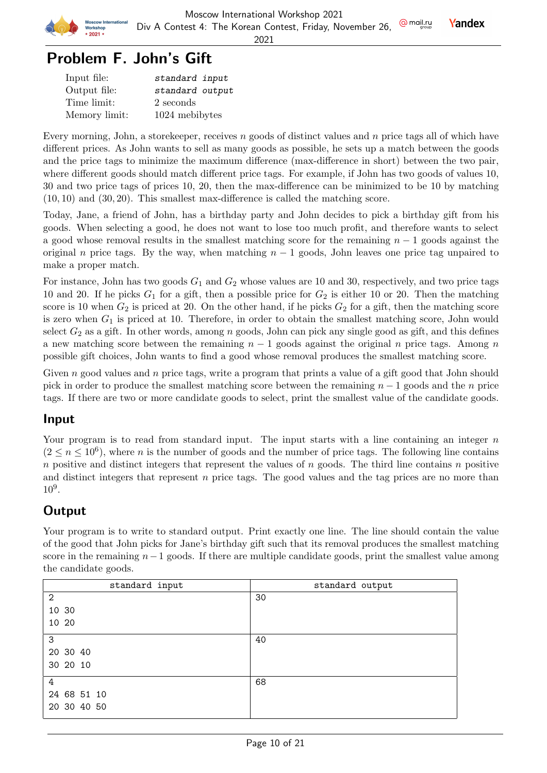# Problem F. John's Gift

| Input file:   | standard input  |
|---------------|-----------------|
| Output file:  | standard output |
| Time limit:   | 2 seconds       |
| Memory limit: | 1024 mebibytes  |

Every morning, John, a storekeeper, receives  $n$  goods of distinct values and  $n$  price tags all of which have different prices. As John wants to sell as many goods as possible, he sets up a match between the goods and the price tags to minimize the maximum difference (max-difference in short) between the two pair, where different goods should match different price tags. For example, if John has two goods of values 10, 30 and two price tags of prices 10, 20, then the max-difference can be minimized to be 10 by matching (10, 10) and (30, 20). This smallest max-difference is called the matching score.

Today, Jane, a friend of John, has a birthday party and John decides to pick a birthday gift from his goods. When selecting a good, he does not want to lose too much profit, and therefore wants to select a good whose removal results in the smallest matching score for the remaining  $n-1$  goods against the original *n* price tags. By the way, when matching  $n-1$  goods, John leaves one price tag unpaired to make a proper match.

For instance, John has two goods  $G_1$  and  $G_2$  whose values are 10 and 30, respectively, and two price tags 10 and 20. If he picks  $G_1$  for a gift, then a possible price for  $G_2$  is either 10 or 20. Then the matching score is 10 when  $G_2$  is priced at 20. On the other hand, if he picks  $G_2$  for a gift, then the matching score is zero when  $G_1$  is priced at 10. Therefore, in order to obtain the smallest matching score, John would select  $G_2$  as a gift. In other words, among n goods, John can pick any single good as gift, and this defines a new matching score between the remaining  $n-1$  goods against the original n price tags. Among n possible gift choices, John wants to find a good whose removal produces the smallest matching score.

Given  $n$  good values and  $n$  price tags, write a program that prints a value of a gift good that John should pick in order to produce the smallest matching score between the remaining  $n-1$  goods and the *n* price tags. If there are two or more candidate goods to select, print the smallest value of the candidate goods.

## Input

Your program is to read from standard input. The input starts with a line containing an integer  $n$  $(2 \le n \le 10^6)$ , where *n* is the number of goods and the number of price tags. The following line contains  $n$  positive and distinct integers that represent the values of  $n$  goods. The third line contains  $n$  positive and distinct integers that represent  $n$  price tags. The good values and the tag prices are no more than  $10^9$ .

## **Output**

Your program is to write to standard output. Print exactly one line. The line should contain the value of the good that John picks for Jane's birthday gift such that its removal produces the smallest matching score in the remaining  $n-1$  goods. If there are multiple candidate goods, print the smallest value among the candidate goods.

| standard input | standard output |
|----------------|-----------------|
| 2              | 30              |
| 10 30          |                 |
| 10 20          |                 |
| 3              | 40              |
| 20 30 40       |                 |
| 30 20 10       |                 |
| 4              | 68              |
| 24 68 51 10    |                 |
| 20 30 40 50    |                 |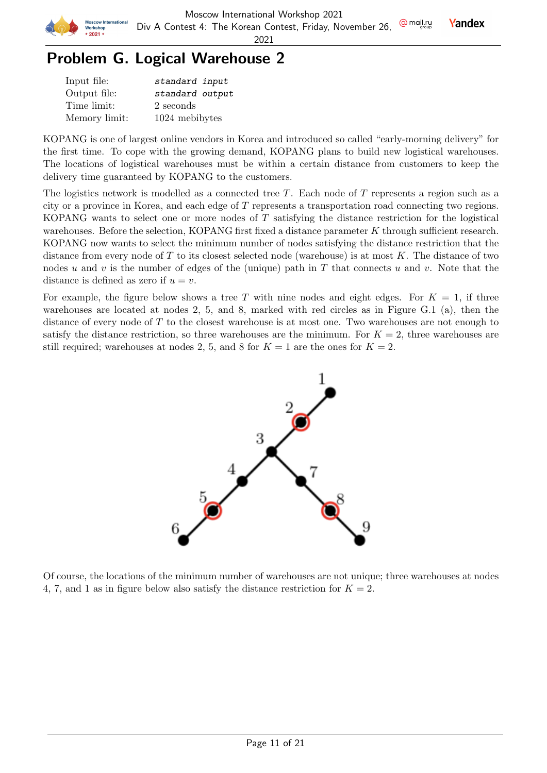# Problem G. Logical Warehouse 2

| Input file:   | standard input  |
|---------------|-----------------|
| Output file:  | standard output |
| Time limit:   | 2 seconds       |
| Memory limit: | 1024 mebibytes  |

KOPANG is one of largest online vendors in Korea and introduced so called "early-morning delivery" for the first time. To cope with the growing demand, KOPANG plans to build new logistical warehouses. The locations of logistical warehouses must be within a certain distance from customers to keep the delivery time guaranteed by KOPANG to the customers.

The logistics network is modelled as a connected tree  $T$ . Each node of  $T$  represents a region such as a city or a province in Korea, and each edge of  $T$  represents a transportation road connecting two regions. KOPANG wants to select one or more nodes of  $T$  satisfying the distance restriction for the logistical warehouses. Before the selection, KOPANG first fixed a distance parameter  $K$  through sufficient research. KOPANG now wants to select the minimum number of nodes satisfying the distance restriction that the distance from every node of  $T$  to its closest selected node (warehouse) is at most  $K$ . The distance of two nodes  $u$  and  $v$  is the number of edges of the (unique) path in  $T$  that connects  $u$  and  $v$ . Note that the distance is defined as zero if  $u = v$ .

For example, the figure below shows a tree T with nine nodes and eight edges. For  $K = 1$ , if three warehouses are located at nodes 2, 5, and 8, marked with red circles as in Figure G.1 (a), then the distance of every node of  $T$  to the closest warehouse is at most one. Two warehouses are not enough to satisfy the distance restriction, so three warehouses are the minimum. For  $K = 2$ , three warehouses are still required; warehouses at nodes 2, 5, and 8 for  $K = 1$  are the ones for  $K = 2$ .



Of course, the locations of the minimum number of warehouses are not unique; three warehouses at nodes 4, 7, and 1 as in figure below also satisfy the distance restriction for  $K = 2$ .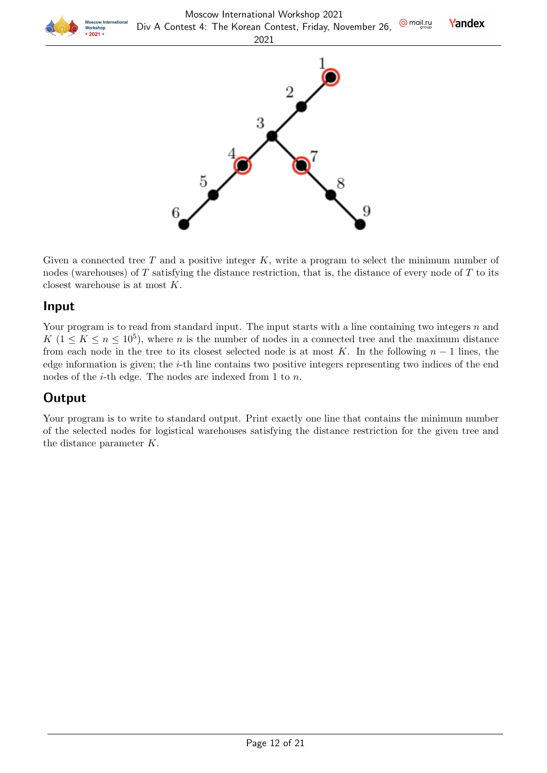

Moscow International Workshop 2021 @ mail.ru Yandex Div A Contest 4: The Korean Contest, Friday, November 26,

2021



Given a connected tree  $T$  and a positive integer  $K$ , write a program to select the minimum number of nodes (warehouses) of  $T$  satisfying the distance restriction, that is, the distance of every node of  $T$  to its closest warehouse is at most  $K$ .

## Input

Your program is to read from standard input. The input starts with a line containing two integers  $n$  and  $K$  ( $1 \leq K \leq n \leq 10^5$ ), where *n* is the number of nodes in a connected tree and the maximum distance from each node in the tree to its closest selected node is at most K. In the following  $n-1$  lines, the edge information is given; the *i*-th line contains two positive integers representing two indices of the end nodes of the  $i$ -th edge. The nodes are indexed from 1 to  $n$ .

## **Output**

Your program is to write to standard output. Print exactly one line that contains the minimum number of the selected nodes for logistical warehouses satisfying the distance restriction for the given tree and the distance parameter  $K$ .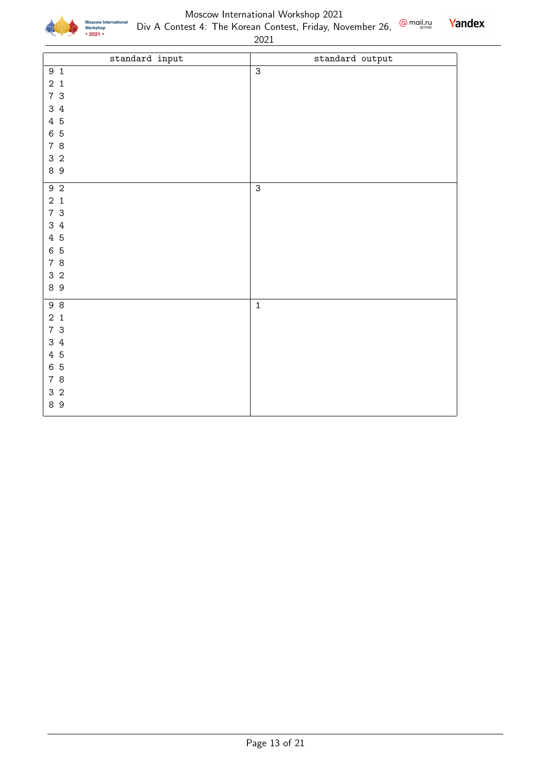

Moscow International<br>Workshop<br>\* 2021 \*

Div A Contest 4: The Korean Contest, Friday, November 26, @ mail.ru

Yandex

2021

| standard input  | standard output           |
|-----------------|---------------------------|
| 9 <sub>1</sub>  | $\overline{3}$            |
| $2\,1$          |                           |
| 7 3             |                           |
| 34              |                           |
| 4 5             |                           |
| 6 5             |                           |
| 7 8             |                           |
| 3 <sub>2</sub>  |                           |
| 89              |                           |
| $9\overline{2}$ | $\ensuremath{\mathsf{3}}$ |
| $2\quad1$       |                           |
| 7 3             |                           |
| $3\quad 4$      |                           |
| 4 5             |                           |
| 6 5             |                           |
| 7 8             |                           |
| 3 <sub>2</sub>  |                           |
| 89              |                           |
| 98              | $\mathbf 1$               |
| $2\quad1$       |                           |
| 7 3             |                           |
| 34              |                           |
| 4 5             |                           |
| 6 5             |                           |
| 7 8             |                           |
| 3 <sub>2</sub>  |                           |
| 89              |                           |
|                 |                           |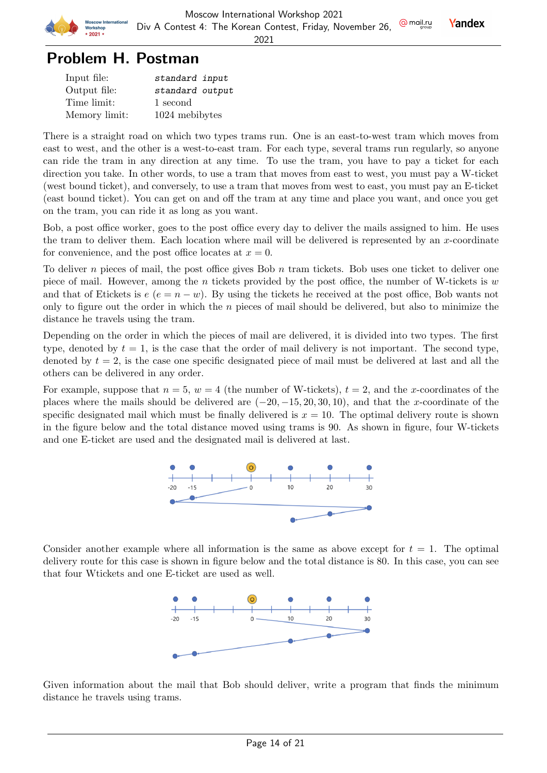2021

## Problem H. Postman

| Input file:   | standard input  |
|---------------|-----------------|
| Output file:  | standard output |
| Time limit:   | 1 second        |
| Memory limit: | 1024 mebibytes  |

There is a straight road on which two types trams run. One is an east-to-west tram which moves from east to west, and the other is a west-to-east tram. For each type, several trams run regularly, so anyone can ride the tram in any direction at any time. To use the tram, you have to pay a ticket for each direction you take. In other words, to use a tram that moves from east to west, you must pay a W-ticket (west bound ticket), and conversely, to use a tram that moves from west to east, you must pay an E-ticket (east bound ticket). You can get on and off the tram at any time and place you want, and once you get on the tram, you can ride it as long as you want.

Bob, a post office worker, goes to the post office every day to deliver the mails assigned to him. He uses the tram to deliver them. Each location where mail will be delivered is represented by an  $x$ -coordinate for convenience, and the post office locates at  $x = 0$ .

To deliver *n* pieces of mail, the post office gives Bob *n* tram tickets. Bob uses one ticket to deliver one piece of mail. However, among the *n* tickets provided by the post office, the number of W-tickets is  $w$ and that of Etickets is  $e (e = n - w)$ . By using the tickets he received at the post office, Bob wants not only to figure out the order in which the  $n$  pieces of mail should be delivered, but also to minimize the distance he travels using the tram.

Depending on the order in which the pieces of mail are delivered, it is divided into two types. The first type, denoted by  $t = 1$ , is the case that the order of mail delivery is not important. The second type, denoted by  $t = 2$ , is the case one specific designated piece of mail must be delivered at last and all the others can be delivered in any order.

For example, suppose that  $n = 5$ ,  $w = 4$  (the number of W-tickets),  $t = 2$ , and the *x*-coordinates of the places where the mails should be delivered are  $(-20, -15, 20, 30, 10)$ , and that the x-coordinate of the specific designated mail which must be finally delivered is  $x = 10$ . The optimal delivery route is shown in the figure below and the total distance moved using trams is 90. As shown in figure, four W-tickets and one E-ticket are used and the designated mail is delivered at last.



Consider another example where all information is the same as above except for  $t = 1$ . The optimal delivery route for this case is shown in figure below and the total distance is 80. In this case, you can see that four Wtickets and one E-ticket are used as well.



Given information about the mail that Bob should deliver, write a program that finds the minimum distance he travels using trams.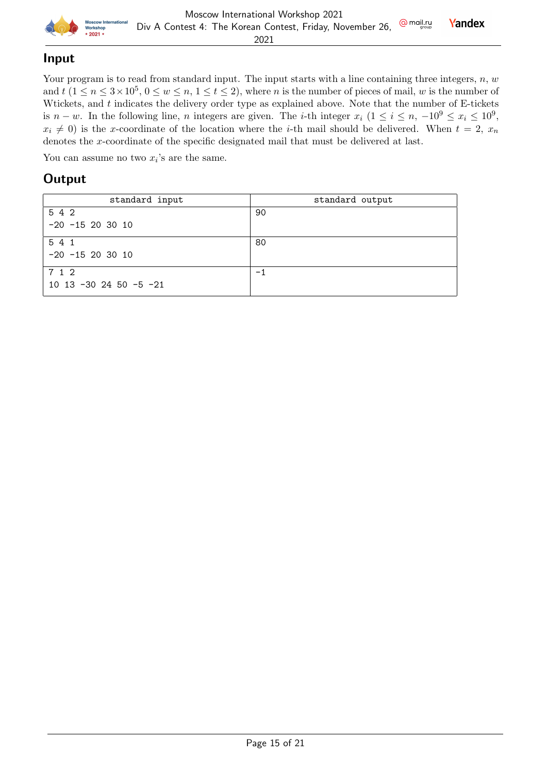

### Input

Your program is to read from standard input. The input starts with a line containing three integers,  $n, w$ and  $t$   $(1 \le n \le 3 \times 10^5, 0 \le w \le n, 1 \le t \le 2)$ , where *n* is the number of pieces of mail, *w* is the number of Wtickets, and  $t$  indicates the delivery order type as explained above. Note that the number of E-tickets is  $n - w$ . In the following line, *n* integers are given. The *i*-th integer  $x_i$   $(1 \le i \le n, -10^9 \le x_i \le 10^9,$  $x_i \neq 0$ ) is the x-coordinate of the location where the *i*-th mail should be delivered. When  $t = 2, x_n$ denotes the  $x$ -coordinate of the specific designated mail that must be delivered at last.

You can assume no two  $x_i$ 's are the same.

## **Output**

| standard input           | standard output |
|--------------------------|-----------------|
| 542                      | 90              |
| $-20 -15 20 30 10$       |                 |
| 541                      | 80              |
| $-20$ $-15$ 20 30 10     |                 |
| 7 1 2                    | -1              |
| $10$ 13 -30 24 50 -5 -21 |                 |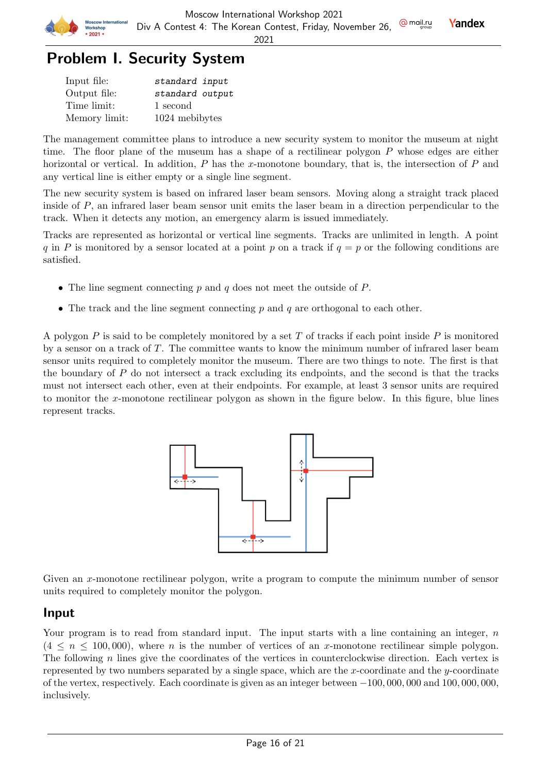# Problem I. Security System

| Input file:   | standard input  |
|---------------|-----------------|
| Output file:  | standard output |
| Time limit:   | 1 second        |
| Memory limit: | 1024 mebibytes  |

The management committee plans to introduce a new security system to monitor the museum at night time. The floor plane of the museum has a shape of a rectilinear polygon  $P$  whose edges are either horizontal or vertical. In addition,  $P$  has the x-monotone boundary, that is, the intersection of  $P$  and any vertical line is either empty or a single line segment.

The new security system is based on infrared laser beam sensors. Moving along a straight track placed inside of  $P$ , an infrared laser beam sensor unit emits the laser beam in a direction perpendicular to the track. When it detects any motion, an emergency alarm is issued immediately.

Tracks are represented as horizontal or vertical line segments. Tracks are unlimited in length. A point q in P is monitored by a sensor located at a point p on a track if  $q = p$  or the following conditions are satisfied.

- The line segment connecting  $p$  and  $q$  does not meet the outside of  $P$ .
- The track and the line segment connecting  $p$  and  $q$  are orthogonal to each other.

A polygon  $P$  is said to be completely monitored by a set  $T$  of tracks if each point inside  $P$  is monitored by a sensor on a track of  $T$ . The committee wants to know the minimum number of infrared laser beam sensor units required to completely monitor the museum. There are two things to note. The first is that the boundary of  $P$  do not intersect a track excluding its endpoints, and the second is that the tracks must not intersect each other, even at their endpoints. For example, at least 3 sensor units are required to monitor the x-monotone rectilinear polygon as shown in the figure below. In this figure, blue lines represent tracks.



Given an x-monotone rectilinear polygon, write a program to compute the minimum number of sensor units required to completely monitor the polygon.

## Input

Your program is to read from standard input. The input starts with a line containing an integer,  $n$  $(4 \leq n \leq 100,000)$ , where *n* is the number of vertices of an *x*-monotone rectilinear simple polygon. The following  $n$  lines give the coordinates of the vertices in counterclockwise direction. Each vertex is represented by two numbers separated by a single space, which are the  $x$ -coordinate and the  $y$ -coordinate of the vertex, respectively. Each coordinate is given as an integer between −100, 000, 000 and 100, 000, 000, inclusively.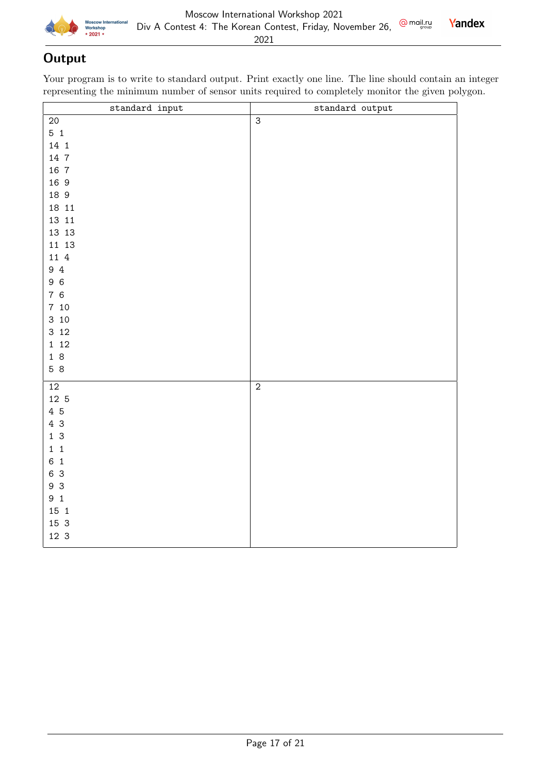

## **Output**

Your program is to write to standard output. Print exactly one line. The line should contain an integer representing the minimum number of sensor units required to completely monitor the given polygon.

| standard input | standard output |
|----------------|-----------------|
| $20\,$         | $\overline{3}$  |
| 5 <sub>1</sub> |                 |
| 14 1           |                 |
| 14 7           |                 |
| 16 7           |                 |
| 16 9           |                 |
| 18 9           |                 |
| 18 11          |                 |
| 13 11          |                 |
| 13 13          |                 |
| 11 13          |                 |
| 11 4           |                 |
| 94             |                 |
| 9 6            |                 |
| 7 6            |                 |
| 710            |                 |
| 310            |                 |
| 3 1 2          |                 |
| $1\ 12$        |                 |
| 18             |                 |
| 5 8            |                 |
| 12             | $\overline{2}$  |
| 12 5           |                 |
| 4 5            |                 |
| 4 3            |                 |
| 1 <sup>3</sup> |                 |
| $1\quad1$      |                 |
| 6 <sub>1</sub> |                 |
| 6 3            |                 |
| 9 3            |                 |
| 9 <sub>1</sub> |                 |
| 15 1           |                 |
| 15 3           |                 |
| 12 3           |                 |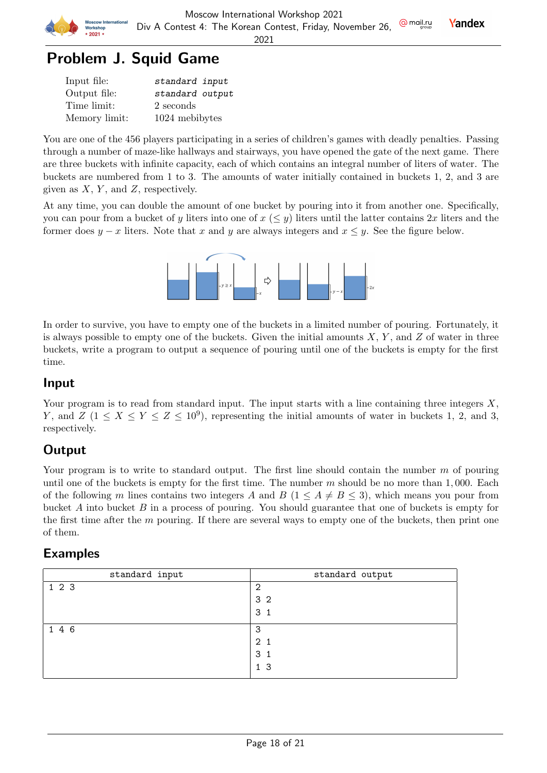# Problem J. Squid Game

| Input file:   | standard input  |
|---------------|-----------------|
| Output file:  | standard output |
| Time limit:   | 2 seconds       |
| Memory limit: | 1024 mebibytes  |

You are one of the 456 players participating in a series of children's games with deadly penalties. Passing through a number of maze-like hallways and stairways, you have opened the gate of the next game. There are three buckets with infinite capacity, each of which contains an integral number of liters of water. The buckets are numbered from 1 to 3. The amounts of water initially contained in buckets 1, 2, and 3 are given as  $X, Y$ , and  $Z$ , respectively.

At any time, you can double the amount of one bucket by pouring into it from another one. Specifically, you can pour from a bucket of y liters into one of  $x \leq y$  liters until the latter contains 2x liters and the former does  $y - x$  liters. Note that x and y are always integers and  $x \leq y$ . See the figure below.



In order to survive, you have to empty one of the buckets in a limited number of pouring. Fortunately, it is always possible to empty one of the buckets. Given the initial amounts  $X, Y$ , and  $Z$  of water in three buckets, write a program to output a sequence of pouring until one of the buckets is empty for the first time.

### Input

Your program is to read from standard input. The input starts with a line containing three integers  $X$ , Y, and  $Z$   $(1 \le X \le Y \le Z \le 10^9)$ , representing the initial amounts of water in buckets 1, 2, and 3, respectively.

## **Output**

Your program is to write to standard output. The first line should contain the number  $m$  of pouring until one of the buckets is empty for the first time. The number  $m$  should be no more than 1,000. Each of the following m lines contains two integers A and  $B$   $(1 \leq A \neq B \leq 3)$ , which means you pour from bucket  $\vec{A}$  into bucket  $\vec{B}$  in a process of pouring. You should guarantee that one of buckets is empty for the first time after the  $m$  pouring. If there are several ways to empty one of the buckets, then print one of them.

| standard input | standard output |
|----------------|-----------------|
| 123            | 2               |
|                | 3 <sub>2</sub>  |
|                | 3 <sub>1</sub>  |
| 1 4 6          | 3               |
|                | 2 <sub>1</sub>  |
|                | 3 <sub>1</sub>  |
|                | 1 <sub>3</sub>  |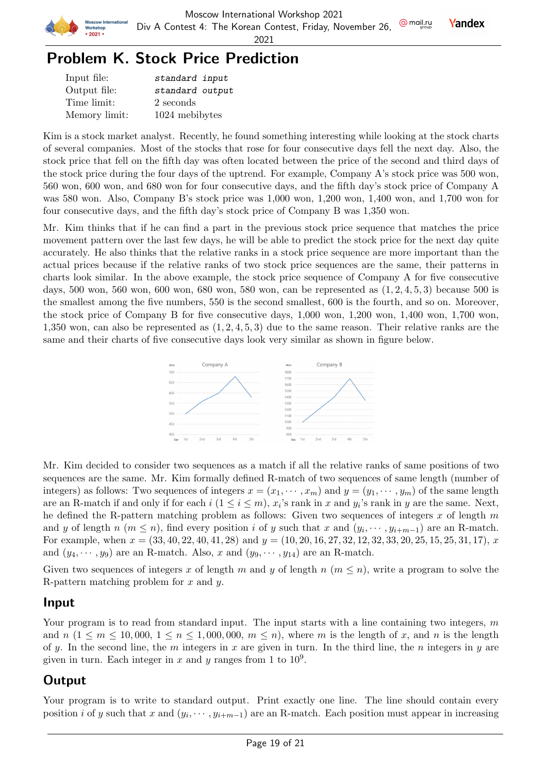# Problem K. Stock Price Prediction

| Input file:   | standard input  |
|---------------|-----------------|
| Output file:  | standard output |
| Time limit:   | 2 seconds       |
| Memory limit: | 1024 mebibytes  |

Kim is a stock market analyst. Recently, he found something interesting while looking at the stock charts of several companies. Most of the stocks that rose for four consecutive days fell the next day. Also, the stock price that fell on the fifth day was often located between the price of the second and third days of the stock price during the four days of the uptrend. For example, Company A's stock price was 500 won, 560 won, 600 won, and 680 won for four consecutive days, and the fifth day's stock price of Company A was 580 won. Also, Company B's stock price was 1,000 won, 1,200 won, 1,400 won, and 1,700 won for four consecutive days, and the fifth day's stock price of Company B was 1,350 won.

Mr. Kim thinks that if he can find a part in the previous stock price sequence that matches the price movement pattern over the last few days, he will be able to predict the stock price for the next day quite accurately. He also thinks that the relative ranks in a stock price sequence are more important than the actual prices because if the relative ranks of two stock price sequences are the same, their patterns in charts look similar. In the above example, the stock price sequence of Company A for five consecutive days, 500 won, 560 won, 600 won, 680 won, 580 won, can be represented as  $(1, 2, 4, 5, 3)$  because 500 is the smallest among the five numbers, 550 is the second smallest, 600 is the fourth, and so on. Moreover, the stock price of Company B for five consecutive days, 1,000 won, 1,200 won, 1,400 won, 1,700 won, 1,350 won, can also be represented as  $(1, 2, 4, 5, 3)$  due to the same reason. Their relative ranks are the same and their charts of five consecutive days look very similar as shown in figure below.



Mr. Kim decided to consider two sequences as a match if all the relative ranks of same positions of two sequences are the same. Mr. Kim formally defined R-match of two sequences of same length (number of integers) as follows: Two sequences of integers  $x = (x_1, \dots, x_m)$  and  $y = (y_1, \dots, y_m)$  of the same length are an R-match if and only if for each  $i$   $(1 \leq i \leq m)$ ,  $x_i$ 's rank in  $x$  and  $y_i$ 's rank in  $y$  are the same. Next, he defined the R-pattern matching problem as follows: Given two sequences of integers  $x$  of length  $m$ and y of length  $n (m \leq n)$ , find every position i of y such that x and  $(y_i, \dots, y_{i+m-1})$  are an R-match. For example, when  $x = (33, 40, 22, 40, 41, 28)$  and  $y = (10, 20, 16, 27, 32, 12, 32, 33, 20, 25, 15, 25, 31, 17)$ , x and  $(y_4, \dots, y_9)$  are an R-match. Also, x and  $(y_9, \dots, y_{14})$  are an R-match.

Given two sequences of integers x of length m and y of length  $n ( m \leq n)$ , write a program to solve the R-pattern matching problem for  $x$  and  $y$ .

### Input

Your program is to read from standard input. The input starts with a line containing two integers,  $m$ and  $n (1 \leq m \leq 10,000, 1 \leq n \leq 1,000,000, m \leq n)$ , where m is the length of x, and n is the length of y. In the second line, the m integers in  $x$  are given in turn. In the third line, the n integers in  $y$  are given in turn. Each integer in x and y ranges from 1 to  $10^9$ .

## **Output**

Your program is to write to standard output. Print exactly one line. The line should contain every position *i* of *y* such that *x* and  $(y_i, \dots, y_{i+m-1})$  are an R-match. Each position must appear in increasing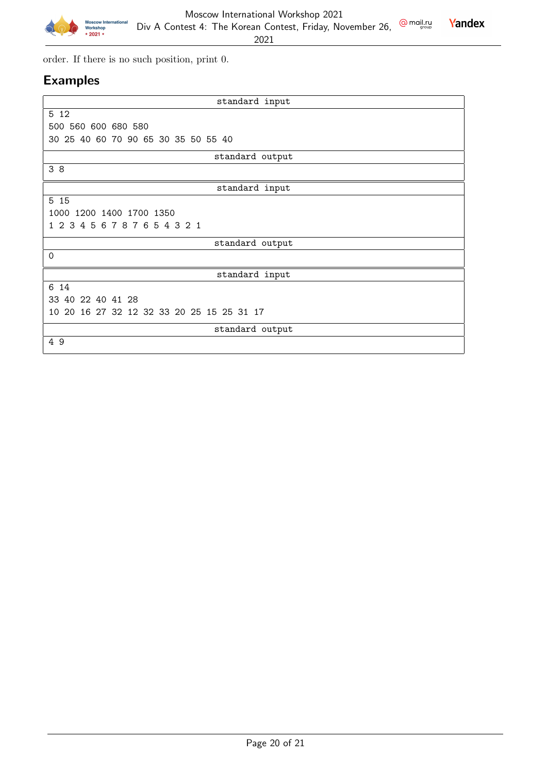

Yandex

2021

order. If there is no such position, print 0.

| standard input                               |  |  |
|----------------------------------------------|--|--|
| 5 12                                         |  |  |
| 500 560 600 680 580                          |  |  |
| 30 25 40 60 70 90 65 30 35 50 55 40          |  |  |
| standard output                              |  |  |
| 38                                           |  |  |
| standard input                               |  |  |
| 5 15                                         |  |  |
| 1000 1200 1400 1700 1350                     |  |  |
| 1 2 3 4 5 6 7 8 7 6 5 4 3 2 1                |  |  |
| standard output                              |  |  |
| $\mathbf 0$                                  |  |  |
| standard input                               |  |  |
| 6 14                                         |  |  |
| 33 40 22 40 41 28                            |  |  |
| 20 16 27 32 12 32 33 20 25 15 25 31 17<br>10 |  |  |
| standard output                              |  |  |
| 49                                           |  |  |